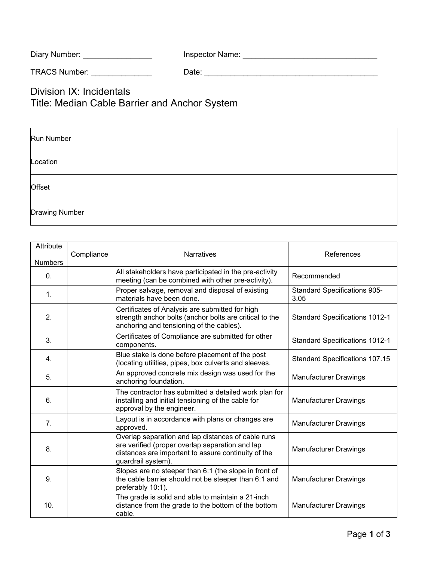| Diary Number: | Inspector Name: |  |
|---------------|-----------------|--|
|---------------|-----------------|--|

TRACS Number: \_\_\_\_\_\_\_\_\_\_\_\_\_\_ Date: \_\_\_\_\_\_\_\_\_\_\_\_\_\_\_\_\_\_\_\_\_\_\_\_\_\_\_\_\_\_\_\_\_\_\_\_\_\_\_\_

Division IX: Incidentals Title: Median Cable Barrier and Anchor System

| Run Number            |  |
|-----------------------|--|
| Location              |  |
| <b>Offset</b>         |  |
| <b>Drawing Number</b> |  |

| Attribute      | Compliance | <b>Narratives</b>                                                                                                                                                                  | References                                  |  |
|----------------|------------|------------------------------------------------------------------------------------------------------------------------------------------------------------------------------------|---------------------------------------------|--|
| <b>Numbers</b> |            |                                                                                                                                                                                    |                                             |  |
| $\mathbf{0}$ . |            | All stakeholders have participated in the pre-activity<br>meeting (can be combined with other pre-activity).                                                                       | Recommended                                 |  |
| 1.             |            | Proper salvage, removal and disposal of existing<br>materials have been done.                                                                                                      | <b>Standard Specifications 905-</b><br>3.05 |  |
| 2.             |            | Certificates of Analysis are submitted for high<br>strength anchor bolts (anchor bolts are critical to the<br>anchoring and tensioning of the cables).                             | <b>Standard Specifications 1012-1</b>       |  |
| 3.             |            | Certificates of Compliance are submitted for other<br>components.                                                                                                                  | <b>Standard Specifications 1012-1</b>       |  |
| 4.             |            | Blue stake is done before placement of the post<br>(locating utilities, pipes, box culverts and sleeves.                                                                           | <b>Standard Specifications 107.15</b>       |  |
| 5.             |            | An approved concrete mix design was used for the<br>anchoring foundation.                                                                                                          | <b>Manufacturer Drawings</b>                |  |
| 6.             |            | The contractor has submitted a detailed work plan for<br>installing and initial tensioning of the cable for<br>approval by the engineer.                                           | <b>Manufacturer Drawings</b>                |  |
| 7.             |            | Layout is in accordance with plans or changes are<br>approved.                                                                                                                     | <b>Manufacturer Drawings</b>                |  |
| 8.             |            | Overlap separation and lap distances of cable runs<br>are verified (proper overlap separation and lap<br>distances are important to assure continuity of the<br>guardrail system). | <b>Manufacturer Drawings</b>                |  |
| 9.             |            | Slopes are no steeper than 6:1 (the slope in front of<br>the cable barrier should not be steeper than 6:1 and<br>preferably 10:1).                                                 | <b>Manufacturer Drawings</b>                |  |
| 10.            |            | The grade is solid and able to maintain a 21-inch<br>distance from the grade to the bottom of the bottom<br>cable.                                                                 | <b>Manufacturer Drawings</b>                |  |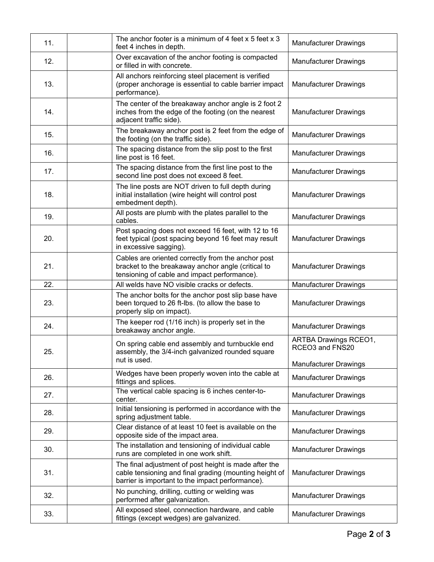| 11. | The anchor footer is a minimum of 4 feet x 5 feet x 3<br>feet 4 inches in depth.                                                                                    | <b>Manufacturer Drawings</b>                    |
|-----|---------------------------------------------------------------------------------------------------------------------------------------------------------------------|-------------------------------------------------|
| 12. | Over excavation of the anchor footing is compacted<br>or filled in with concrete.                                                                                   | <b>Manufacturer Drawings</b>                    |
| 13. | All anchors reinforcing steel placement is verified<br>(proper anchorage is essential to cable barrier impact<br>performance).                                      | <b>Manufacturer Drawings</b>                    |
| 14. | The center of the breakaway anchor angle is 2 foot 2<br>inches from the edge of the footing (on the nearest<br>adjacent traffic side).                              | <b>Manufacturer Drawings</b>                    |
| 15. | The breakaway anchor post is 2 feet from the edge of<br>the footing (on the traffic side).                                                                          | <b>Manufacturer Drawings</b>                    |
| 16. | The spacing distance from the slip post to the first<br>line post is 16 feet.                                                                                       | <b>Manufacturer Drawings</b>                    |
| 17. | The spacing distance from the first line post to the<br>second line post does not exceed 8 feet.                                                                    | <b>Manufacturer Drawings</b>                    |
| 18. | The line posts are NOT driven to full depth during<br>initial installation (wire height will control post<br>embedment depth).                                      | <b>Manufacturer Drawings</b>                    |
| 19. | All posts are plumb with the plates parallel to the<br>cables.                                                                                                      | <b>Manufacturer Drawings</b>                    |
| 20. | Post spacing does not exceed 16 feet, with 12 to 16<br>feet typical (post spacing beyond 16 feet may result<br>in excessive sagging).                               | <b>Manufacturer Drawings</b>                    |
| 21. | Cables are oriented correctly from the anchor post<br>bracket to the breakaway anchor angle (critical to<br>tensioning of cable and impact performance).            | <b>Manufacturer Drawings</b>                    |
| 22. | All welds have NO visible cracks or defects.                                                                                                                        | <b>Manufacturer Drawings</b>                    |
| 23. | The anchor bolts for the anchor post slip base have<br>been torqued to 26 ft-lbs. (to allow the base to<br>properly slip on impact).                                | <b>Manufacturer Drawings</b>                    |
| 24. | The keeper rod (1/16 inch) is properly set in the<br>breakaway anchor angle.                                                                                        | <b>Manufacturer Drawings</b>                    |
| 25. | On spring cable end assembly and turnbuckle end<br>assembly, the 3/4-inch galvanized rounded square<br>nut is used.                                                 | <b>ARTBA Drawings RCEO1,</b><br>RCEO3 and FNS20 |
|     |                                                                                                                                                                     | <b>Manufacturer Drawings</b>                    |
| 26. | Wedges have been properly woven into the cable at<br>fittings and splices.                                                                                          | <b>Manufacturer Drawings</b>                    |
| 27. | The vertical cable spacing is 6 inches center-to-<br>center.                                                                                                        | <b>Manufacturer Drawings</b>                    |
| 28. | Initial tensioning is performed in accordance with the<br>spring adjustment table.                                                                                  | <b>Manufacturer Drawings</b>                    |
| 29. | Clear distance of at least 10 feet is available on the<br>opposite side of the impact area.                                                                         | <b>Manufacturer Drawings</b>                    |
| 30. | The installation and tensioning of individual cable<br>runs are completed in one work shift.                                                                        | <b>Manufacturer Drawings</b>                    |
| 31. | The final adjustment of post height is made after the<br>cable tensioning and final grading (mounting height of<br>barrier is important to the impact performance). | <b>Manufacturer Drawings</b>                    |
|     |                                                                                                                                                                     |                                                 |
| 32. | No punching, drilling, cutting or welding was<br>performed after galvanization.                                                                                     | <b>Manufacturer Drawings</b>                    |